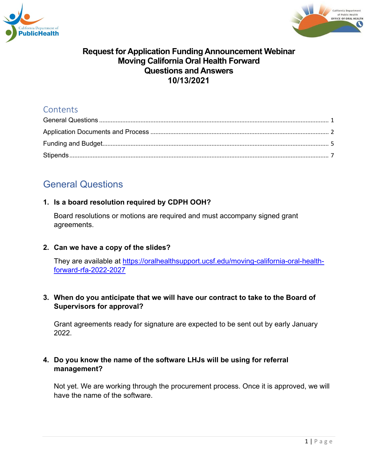



# **Contents**

# <span id="page-0-0"></span>General Questions

#### **1. Is a board resolution required by CDPH OOH?**

Board resolutions or motions are required and must accompany signed grant agreements.

#### **2. Can we have a copy of the slides?**

They are available at [https://oralhealthsupport.ucsf.edu/moving-california-oral-health](https://oralhealthsupport.ucsf.edu/moving-california-oral-health-forward-rfa-2022-2027)[forward-rfa-2022-2027](https://oralhealthsupport.ucsf.edu/moving-california-oral-health-forward-rfa-2022-2027)

#### **3. When do you anticipate that we will have our contract to take to the Board of Supervisors for approval?**

Grant agreements ready for signature are expected to be sent out by early January 2022.

## **4. Do you know the name of the software LHJs will be using for referral management?**

Not yet. We are working through the procurement process. Once it is approved, we will have the name of the software.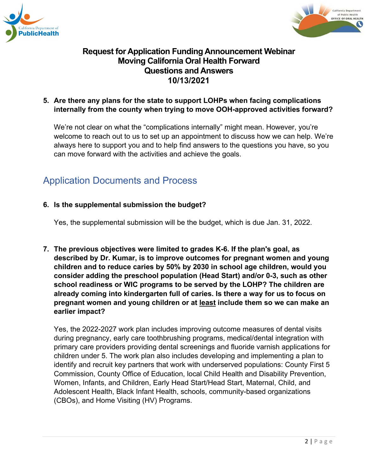



#### **5. Are there any plans for the state to support LOHPs when facing complications internally from the county when trying to move OOH-approved activities forward?**

We're not clear on what the "complications internally" might mean. However, you're welcome to reach out to us to set up an appointment to discuss how we can help. We're always here to support you and to help find answers to the questions you have, so you can move forward with the activities and achieve the goals.

# <span id="page-1-0"></span>Application Documents and Process

#### **6. Is the supplemental submission the budget?**

Yes, the supplemental submission will be the budget, which is due Jan. 31, 2022.

**7. The previous objectives were limited to grades K-6. If the plan's goal, as described by Dr. Kumar, is to improve outcomes for pregnant women and young children and to reduce caries by 50% by 2030 in school age children, would you consider adding the preschool population (Head Start) and/or 0-3, such as other school readiness or WIC programs to be served by the LOHP? The children are already coming into kindergarten full of caries. Is there a way for us to focus on pregnant women and young children or at least include them so we can make an earlier impact?**

Yes, the 2022-2027 work plan includes improving outcome measures of dental visits during pregnancy, early care toothbrushing programs, medical/dental integration with primary care providers providing dental screenings and fluoride varnish applications for children under 5. The work plan also includes developing and implementing a plan to identify and recruit key partners that work with underserved populations: County First 5 Commission, County Office of Education, local Child Health and Disability Prevention, Women, Infants, and Children, Early Head Start/Head Start, Maternal, Child, and Adolescent Health, Black Infant Health, schools, community-based organizations (CBOs), and Home Visiting (HV) Programs.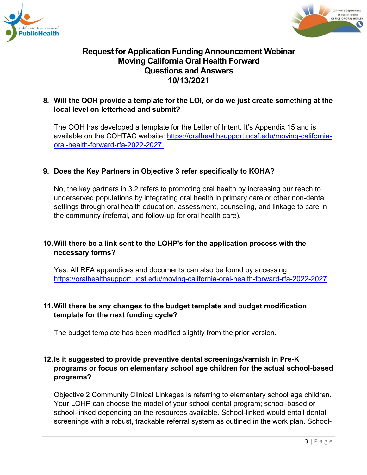



### **8. Will the OOH provide a template for the LOI, or do we just create something at the local level on letterhead and submit?**

The OOH has developed a template for the Letter of Intent. It's Appendix 15 and is available on the COHTAC website: [https://oralhealthsupport.ucsf.edu/moving-california](https://oralhealthsupport.ucsf.edu/moving-california-oral-health-forward-rfa-2022-2027.)[oral-health-forward-rfa-2022-2027.](https://oralhealthsupport.ucsf.edu/moving-california-oral-health-forward-rfa-2022-2027.)

#### **9. Does the Key Partners in Objective 3 refer specifically to KOHA?**

No, the key partners in 3.2 refers to promoting oral health by increasing our reach to underserved populations by integrating oral health in primary care or other non-dental settings through oral health education, assessment, counseling, and linkage to care in the community (referral, and follow-up for oral health care).

## **10.Will there be a link sent to the LOHP's for the application process with the necessary forms?**

Yes. All RFA appendices and documents can also be found by accessing: <https://oralhealthsupport.ucsf.edu/moving-california-oral-health-forward-rfa-2022-2027>

#### **11.Will there be any changes to the budget template and budget modification template for the next funding cycle?**

The budget template has been modified slightly from the prior version.

#### **12.Is it suggested to provide preventive dental screenings/varnish in Pre-K programs or focus on elementary school age children for the actual school-based programs?**

Objective 2 Community Clinical Linkages is referring to elementary school age children. Your LOHP can choose the model of your school dental program; school-based or school-linked depending on the resources available. School-linked would entail dental screenings with a robust, trackable referral system as outlined in the work plan. School-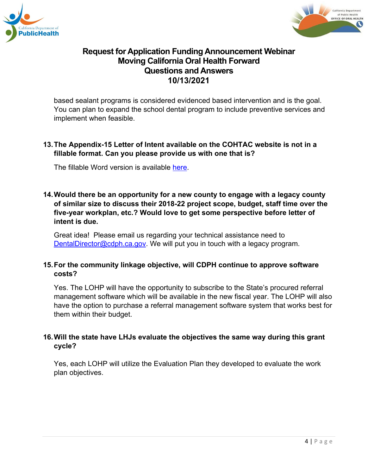



based sealant programs is considered evidenced based intervention and is the goal. You can plan to expand the school dental program to include preventive services and implement when feasible.

### **13.The Appendix-15 Letter of Intent available on the COHTAC website is not in a fillable format. Can you please provide us with one that is?**

The fillable Word version is available [here.](https://oralhealthsupport.ucsf.edu/sites/g/files/tkssra861/f/wysiwyg/Appendix%2015%20-%20Letter%20of%20Intent.docm)

#### **14.Would there be an opportunity for a new county to engage with a legacy county of similar size to discuss their 2018-22 project scope, budget, staff time over the five-year workplan, etc.? Would love to get some perspective before letter of intent is due.**

Great idea! Please email us regarding your technical assistance need to [DentalDirector@cdph.ca.gov.](mailto:DentalDirector@cdph.ca.gov) We will put you in touch with a legacy program.

#### **15.For the community linkage objective, will CDPH continue to approve software costs?**

Yes. The LOHP will have the opportunity to subscribe to the State's procured referral management software which will be available in the new fiscal year. The LOHP will also have the option to purchase a referral management software system that works best for them within their budget.

#### **16.Will the state have LHJs evaluate the objectives the same way during this grant cycle?**

Yes, each LOHP will utilize the Evaluation Plan they developed to evaluate the work plan objectives.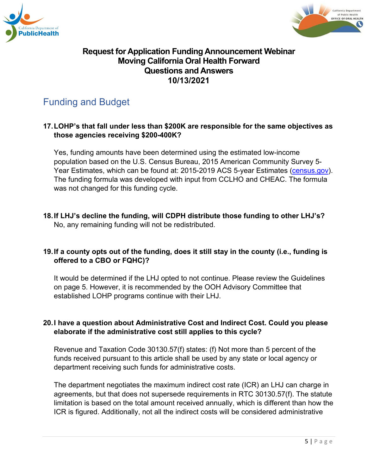



# <span id="page-4-0"></span>Funding and Budget

#### **17.LOHP's that fall under less than \$200K are responsible for the same objectives as those agencies receiving \$200-400K?**

Yes, funding amounts have been determined using the estimated low-income population based on the U.S. Census Bureau, 2015 American Community Survey 5- Year Estimates, which can be found at: 2015-2019 ACS 5-year Estimates [\(census.gov\)](https://www.census.gov/programs-surveys/acs/data.html). The funding formula was developed with input from CCLHO and CHEAC. The formula was not changed for this funding cycle.

**18.If LHJ's decline the funding, will CDPH distribute those funding to other LHJ's?** No, any remaining funding will not be redistributed.

## **19.If a county opts out of the funding, does it still stay in the county (i.e., funding is offered to a CBO or FQHC)?**

It would be determined if the LHJ opted to not continue. Please review the Guidelines on page 5. However, it is recommended by the OOH Advisory Committee that established LOHP programs continue with their LHJ.

#### **20.I have a question about Administrative Cost and Indirect Cost. Could you please elaborate if the administrative cost still applies to this cycle?**

Revenue and Taxation Code 30130.57(f) states: (f) Not more than 5 percent of the funds received pursuant to this article shall be used by any state or local agency or department receiving such funds for administrative costs.

The department negotiates the maximum indirect cost rate (ICR) an LHJ can charge in agreements, but that does not supersede requirements in RTC 30130.57(f). The statute limitation is based on the total amount received annually, which is different than how the ICR is figured. Additionally, not all the indirect costs will be considered administrative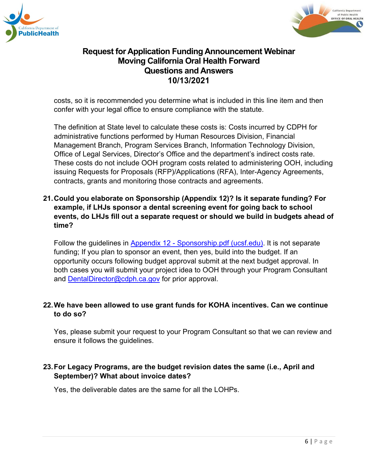



costs, so it is recommended you determine what is included in this line item and then confer with your legal office to ensure compliance with the statute.

The definition at State level to calculate these costs is: Costs incurred by CDPH for administrative functions performed by Human Resources Division, Financial Management Branch, Program Services Branch, Information Technology Division, Office of Legal Services, Director's Office and the department's indirect costs rate. These costs do not include OOH program costs related to administering OOH, including issuing Requests for Proposals (RFP)/Applications (RFA), Inter-Agency Agreements, contracts, grants and monitoring those contracts and agreements.

### **21.Could you elaborate on Sponsorship (Appendix 12)? Is it separate funding? For example, if LHJs sponsor a dental screening event for going back to school events, do LHJs fill out a separate request or should we build in budgets ahead of time?**

Follow the guidelines in Appendix 12 - [Sponsorship.pdf \(ucsf.edu\).](https://oralhealthsupport.ucsf.edu/sites/g/files/tkssra861/f/wysiwyg/Appendix%2012%20-%20Sponsorship.pdf) It is not separate funding; If you plan to sponsor an event, then yes, build into the budget. If an opportunity occurs following budget approval submit at the next budget approval. In both cases you will submit your project idea to OOH through your Program Consultant and [DentalDirector@cdph.ca.gov](mailto:DentalDirector@cdph.ca.gov) for prior approval.

#### **22.We have been allowed to use grant funds for KOHA incentives. Can we continue to do so?**

Yes, please submit your request to your Program Consultant so that we can review and ensure it follows the guidelines.

## **23.For Legacy Programs, are the budget revision dates the same (i.e., April and September)? What about invoice dates?**

Yes, the deliverable dates are the same for all the LOHPs.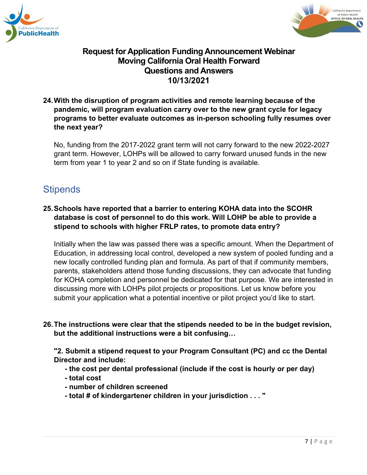



#### **24.With the disruption of program activities and remote learning because of the pandemic, will program evaluation carry over to the new grant cycle for legacy programs to better evaluate outcomes as in-person schooling fully resumes over the next year?**

No, funding from the 2017-2022 grant term will not carry forward to the new 2022-2027 grant term. However, LOHPs will be allowed to carry forward unused funds in the new term from year 1 to year 2 and so on if State funding is available.

# <span id="page-6-0"></span>**Stipends**

## **25.Schools have reported that a barrier to entering KOHA data into the SCOHR database is cost of personnel to do this work. Will LOHP be able to provide a stipend to schools with higher FRLP rates, to promote data entry?**

Initially when the law was passed there was a specific amount. When the Department of Education, in addressing local control, developed a new system of pooled funding and a new locally controlled funding plan and formula. As part of that if community members, parents, stakeholders attend those funding discussions, they can advocate that funding for KOHA completion and personnel be dedicated for that purpose. We are interested in discussing more with LOHPs pilot projects or propositions. Let us know before you submit your application what a potential incentive or pilot project you'd like to start.

#### **26.The instructions were clear that the stipends needed to be in the budget revision, but the additional instructions were a bit confusing…**

**"2. Submit a stipend request to your Program Consultant (PC) and cc the Dental Director and include:**

- **- the cost per dental professional (include if the cost is hourly or per day)**
- **- total cost**
- **- number of children screened**
- **- total # of kindergartener children in your jurisdiction . . . "**